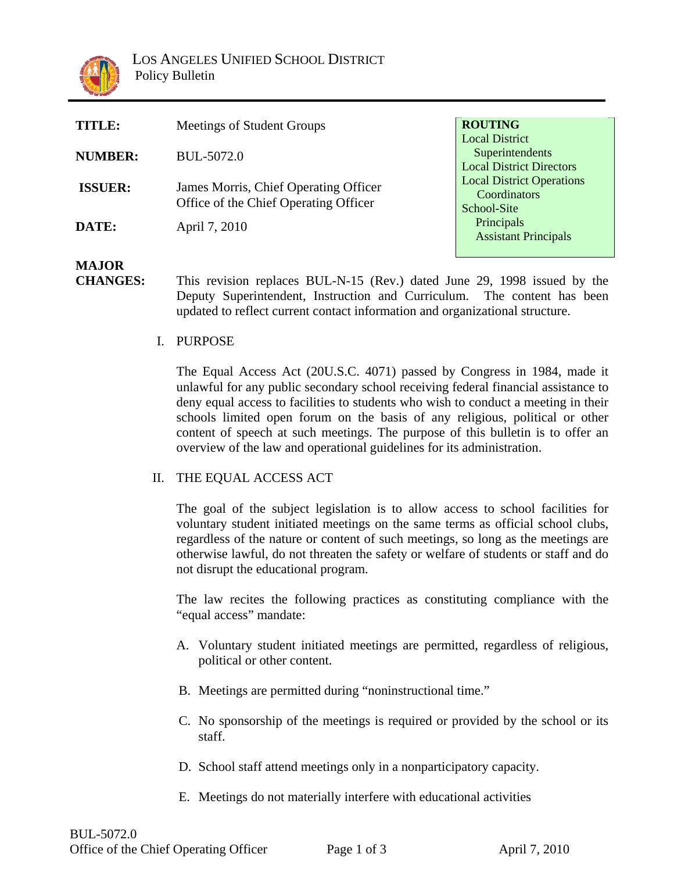

| <b>TITLE:</b>  | Meetings of Student Groups                                                     | <b>ROUTING</b>                                                              |
|----------------|--------------------------------------------------------------------------------|-----------------------------------------------------------------------------|
| <b>NUMBER:</b> | BUL-5072.0                                                                     | <b>Local District</b><br>Superintendents<br><b>Local District Directors</b> |
| <b>ISSUER:</b> | James Morris, Chief Operating Officer<br>Office of the Chief Operating Officer | <b>Local District Operations</b><br>Coordinators<br>School-Site             |
| DATE:          | April 7, 2010                                                                  | Principals<br><b>Assistant Principals</b>                                   |

## **MAJOR**

- **CHANGES:** This revision replaces BUL-N-15 (Rev.) dated June 29, 1998 issued by the Deputy Superintendent, Instruction and Curriculum. The content has been updated to reflect current contact information and organizational structure.
	- I. PURPOSE

The Equal Access Act (20U.S.C. 4071) passed by Congress in 1984, made it unlawful for any public secondary school receiving federal financial assistance to deny equal access to facilities to students who wish to conduct a meeting in their schools limited open forum on the basis of any religious, political or other content of speech at such meetings. The purpose of this bulletin is to offer an overview of the law and operational guidelines for its administration.

## II. THE EQUAL ACCESS ACT

The goal of the subject legislation is to allow access to school facilities for voluntary student initiated meetings on the same terms as official school clubs, regardless of the nature or content of such meetings, so long as the meetings are otherwise lawful, do not threaten the safety or welfare of students or staff and do not disrupt the educational program.

The law recites the following practices as constituting compliance with the "equal access" mandate:

- A. Voluntary student initiated meetings are permitted, regardless of religious, political or other content.
- B. Meetings are permitted during "noninstructional time."
- C. No sponsorship of the meetings is required or provided by the school or its staff.
- D. School staff attend meetings only in a nonparticipatory capacity.
- E. Meetings do not materially interfere with educational activities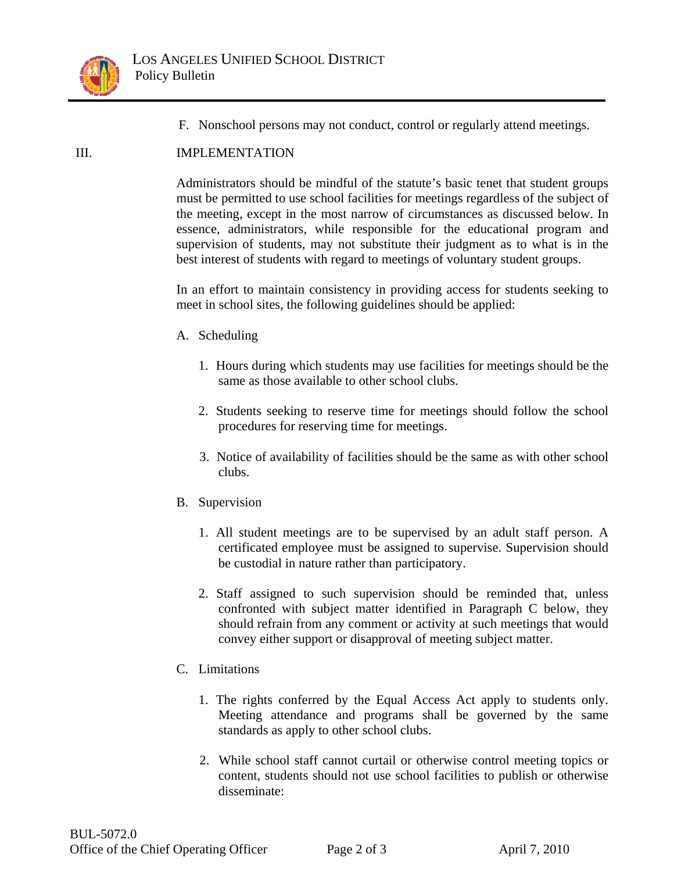

F. Nonschool persons may not conduct, control or regularly attend meetings.

## III. IMPLEMENTATION

Administrators should be mindful of the statute's basic tenet that student groups must be permitted to use school facilities for meetings regardless of the subject of the meeting, except in the most narrow of circumstances as discussed below. In essence, administrators, while responsible for the educational program and supervision of students, may not substitute their judgment as to what is in the best interest of students with regard to meetings of voluntary student groups.

In an effort to maintain consistency in providing access for students seeking to meet in school sites, the following guidelines should be applied:

- A. Scheduling
	- 1. Hours during which students may use facilities for meetings should be the same as those available to other school clubs.
	- 2. Students seeking to reserve time for meetings should follow the school procedures for reserving time for meetings.
	- 3. Notice of availability of facilities should be the same as with other school clubs.
- B. Supervision
	- 1. All student meetings are to be supervised by an adult staff person. A certificated employee must be assigned to supervise. Supervision should be custodial in nature rather than participatory.
	- 2. Staff assigned to such supervision should be reminded that, unless confronted with subject matter identified in Paragraph C below, they should refrain from any comment or activity at such meetings that would convey either support or disapproval of meeting subject matter.

## C. Limitations

- 1. The rights conferred by the Equal Access Act apply to students only. Meeting attendance and programs shall be governed by the same standards as apply to other school clubs.
- 2. While school staff cannot curtail or otherwise control meeting topics or content, students should not use school facilities to publish or otherwise disseminate: